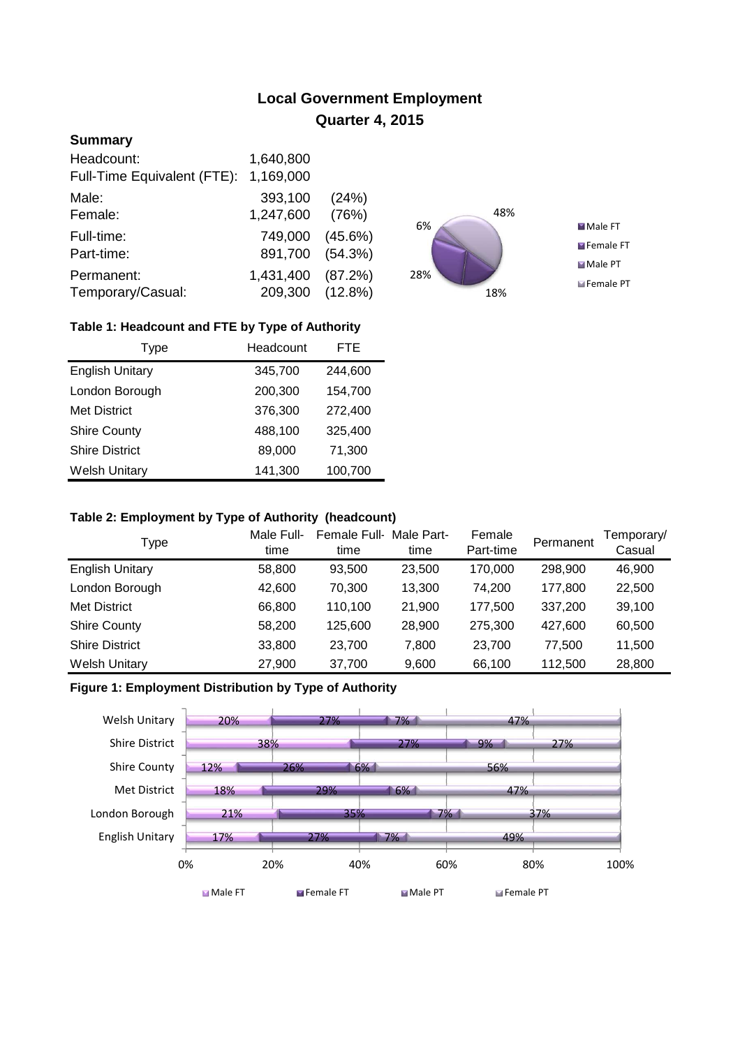# **Local Government Employment Quarter 4, 2015**

## **Summary**

| Headcount:                  | 1,640,800       |            |
|-----------------------------|-----------------|------------|
| Full-Time Equivalent (FTE): | 1,169,000       |            |
| Male:                       | 393,100         | (24%)      |
| Female:                     | 1,247,600       | (76%)      |
| Full-time:                  | 749,000         | $(45.6\%)$ |
| Part-time:                  | 891,700         | (54.3%)    |
| Permanent:                  | 1,431,400       | (87.2%)    |
| Temporary/Casual:           | 209,300 (12.8%) |            |



## **Table 1: Headcount and FTE by Type of Authority**

| Type                   | Headcount | <b>FTE</b> |
|------------------------|-----------|------------|
| <b>English Unitary</b> | 345,700   | 244,600    |
| London Borough         | 200,300   | 154,700    |
| <b>Met District</b>    | 376,300   | 272,400    |
| <b>Shire County</b>    | 488,100   | 325,400    |
| <b>Shire District</b>  | 89,000    | 71,300     |
| <b>Welsh Unitary</b>   | 141,300   | 100,700    |

#### **Table 2: Employment by Type of Authority (headcount)**

| Type                   | Male Full-<br>time | Female Full-<br>time | Male Part-<br>time | Female<br>Part-time | Permanent | Temporary/<br>Casual |
|------------------------|--------------------|----------------------|--------------------|---------------------|-----------|----------------------|
| <b>English Unitary</b> | 58,800             | 93,500               | 23,500             | 170,000             | 298,900   | 46,900               |
| London Borough         | 42.600             | 70.300               | 13.300             | 74.200              | 177.800   | 22,500               |
| Met District           | 66,800             | 110.100              | 21,900             | 177,500             | 337,200   | 39,100               |
| <b>Shire County</b>    | 58,200             | 125.600              | 28,900             | 275.300             | 427.600   | 60,500               |
| <b>Shire District</b>  | 33,800             | 23.700               | 7.800              | 23,700              | 77.500    | 11,500               |
| <b>Welsh Unitary</b>   | 27,900             | 37,700               | 9,600              | 66,100              | 112,500   | 28,800               |

## **Figure 1: Employment Distribution by Type of Authority**